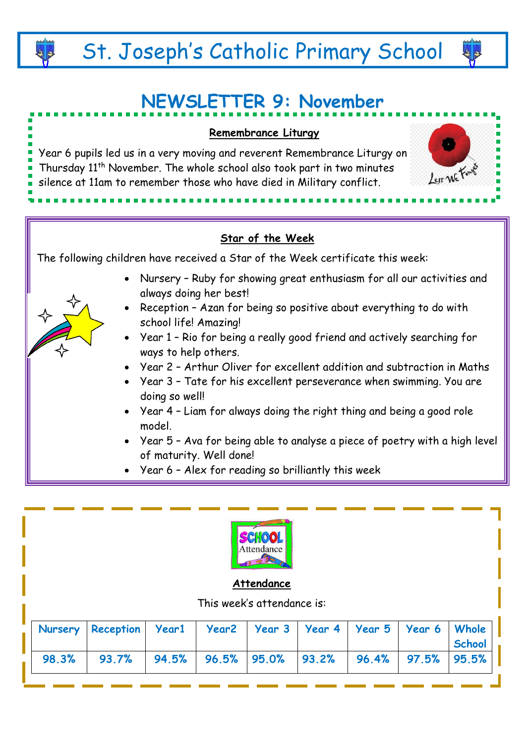# **NEWSLETTER 9: November**





**Attendance**

This week's attendance is:

|  | Nursery Reception   Year1   Year2   Year 3   Year 4   Year 5   Year 6   Whole |  |  |  |               |
|--|-------------------------------------------------------------------------------|--|--|--|---------------|
|  |                                                                               |  |  |  | <b>School</b> |
|  | 98.3% 93.7% 94.5% 96.5% 95.0% 93.2% 96.4% 97.5% 95.5%                         |  |  |  |               |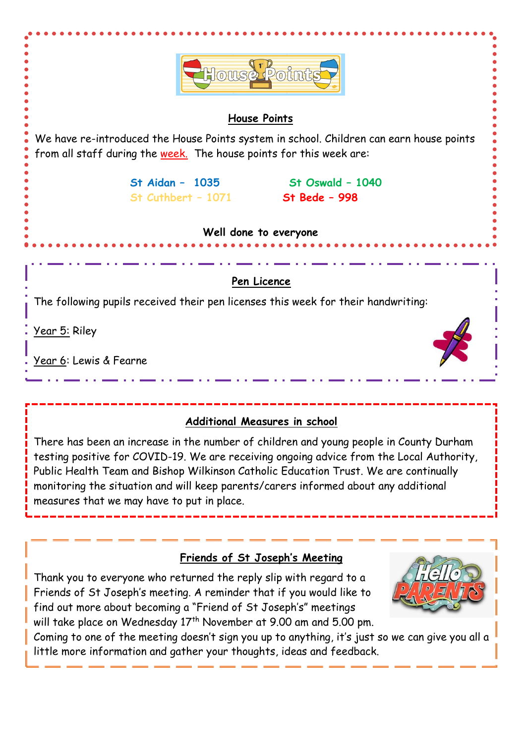

There has been an increase in the number of children and young people in County Durham testing positive for COVID-19. We are receiving ongoing advice from the Local Authority, Public Health Team and Bishop Wilkinson Catholic Education Trust. We are continually monitoring the situation and will keep parents/carers informed about any additional measures that we may have to put in place.

# **Friends of St Joseph's Meeting**

Thank you to everyone who returned the reply slip with regard to a Friends of St Joseph's meeting. A reminder that if you would like to find out more about becoming a "Friend of St Joseph's" meetings will take place on Wednesday  $17<sup>th</sup>$  November at 9.00 am and 5.00 pm.

Coming to one of the meeting doesn't sign you up to anything, it's just so we can give you all a little more information and gather your thoughts, ideas and feedback.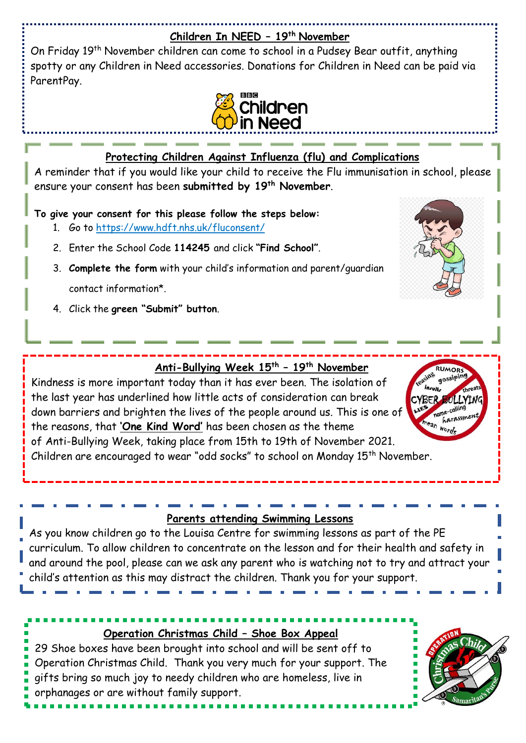#### **Children In NEED – 19th November**

On Friday 19<sup>th</sup> November children can come to school in a Pudsey Bear outfit, anything spotty or any Children in Need accessories. Donations for Children in Need can be paid via ParentPay.



## **Protecting Children Against Influenza (flu) and Complications**

A reminder that if you would like your child to receive the Flu immunisation in school, please ensure your consent has been **submitted by 19th November**.

**To give your consent for this please follow the steps below:**

- 1. Go to<https://www.hdft.nhs.uk/fluconsent/>
- 2. Enter the School Code **114245** and click **"Find School"**.
- 3. **Complete the form** with your child's information and parent/guardian contact information\*.
- 4. Click the **green "Submit" button**.



# **Anti-Bullying Week 15th – 19th November**

Kindness is more important today than it has ever been. The isolation of the last year has underlined how little acts of consideration can break down barriers and brighten the lives of the people around us. This is one of the reasons, that **'One Kind Word'** has been chosen as the theme of Anti-Bullying Week, taking place from 15th to 19th of November 2021. Children are encouraged to wear "odd socks" to school on Monday 15<sup>th</sup> November.



#### **Parents attending Swimming Lessons**

As you know children go to the Louisa Centre for swimming lessons as part of the PE curriculum. To allow children to concentrate on the lesson and for their health and safety in and around the pool, please can we ask any parent who is watching not to try and attract your child's attention as this may distract the children. Thank you for your support.

## **Operation Christmas Child – Shoe Box Appeal**

29 Shoe boxes have been brought into school and will be sent off to Operation Christmas Child. Thank you very much for your support. The gifts bring so much joy to needy children who are homeless, live in orphanages or are without family support.